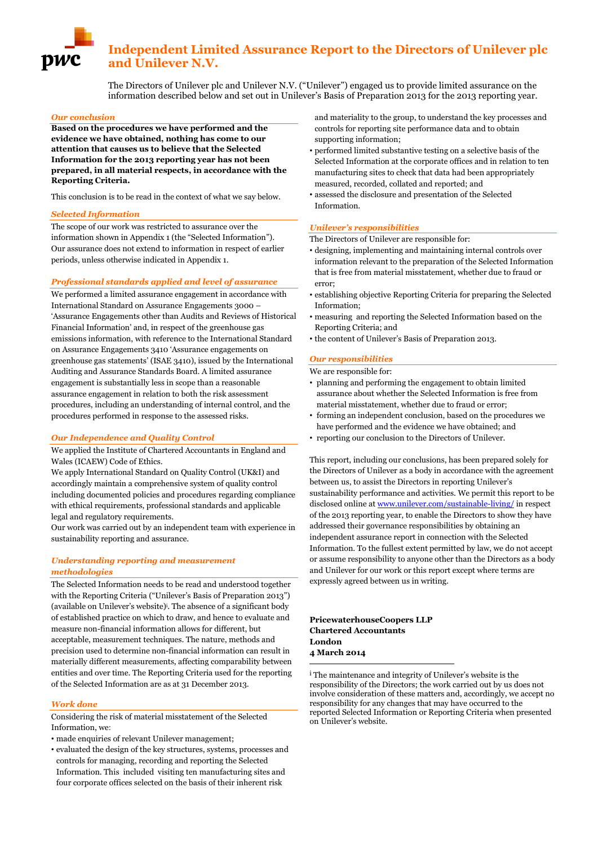# **Independent Limited Assurance Report to the Directors of Unilever plc and Unilever N.V.**

The Directors of Unilever plc and Unilever N.V. ("Unilever") engaged us to provide limited assurance on the information described below and set out in Unilever's Basis of Preparation 2013 for the 2013 reporting year.

#### *Our conclusion*

**Based on the procedures we have performed and the evidence we have obtained, nothing has come to our attention that causes us to believe that the Selected Information for the 2013 reporting year has not been prepared, in all material respects, in accordance with the Reporting Criteria.**

This conclusion is to be read in the context of what we say below.

#### *Selected Information*

The scope of our work was restricted to assurance over the information shown in Appendix 1 (the "Selected Information"). Our assurance does not extend to information in respect of earlier periods, unless otherwise indicated in Appendix 1.

#### *Professional standards applied and level of assurance*

We performed a limited assurance engagement in accordance with International Standard on Assurance Engagements 3000 – 'Assurance Engagements other than Audits and Reviews of Historical Financial Information' and, in respect of the greenhouse gas emissions information, with reference to the International Standard on Assurance Engagements 3410 'Assurance engagements on greenhouse gas statements' (ISAE 3410), issued by the International Auditing and Assurance Standards Board. A limited assurance engagement is substantially less in scope than a reasonable assurance engagement in relation to both the risk assessment procedures, including an understanding of internal control, and the procedures performed in response to the assessed risks.

#### *Our Independence and Quality Control*

We applied the Institute of Chartered Accountants in England and Wales (ICAEW) Code of Ethics.

We apply International Standard on Quality Control (UK&I) and accordingly maintain a comprehensive system of quality control including documented policies and procedures regarding compliance with ethical requirements, professional standards and applicable legal and regulatory requirements.

Our work was carried out by an independent team with experience in sustainability reporting and assurance.

## *Understanding reporting and measurement methodologies*

The Selected Information needs to be read and understood together with the Reporting Criteria ("Unilever's Basis of Preparation 2013") (available on Unilever's website)<sup>i</sup> . The absence of a significant body of established practice on which to draw, and hence to evaluate and measure non-financial information allows for different, but acceptable, measurement techniques. The nature, methods and precision used to determine non-financial information can result in materially different measurements, affecting comparability between entities and over time. The Reporting Criteria used for the reporting of the Selected Information are as at 31 December 2013.

#### *Work done*

Considering the risk of material misstatement of the Selected Information, we:

- made enquiries of relevant Unilever management:
- evaluated the design of the key structures, systems, processes and controls for managing, recording and reporting the Selected Information. This included visiting ten manufacturing sites and four corporate offices selected on the basis of their inherent risk

and materiality to the group, to understand the key processes and controls for reporting site performance data and to obtain supporting information;

- performed limited substantive testing on a selective basis of the Selected Information at the corporate offices and in relation to ten manufacturing sites to check that data had been appropriately measured, recorded, collated and reported; and
- assessed the disclosure and presentation of the Selected Information.

## *Unilever's responsibilities*

The Directors of Unilever are responsible for:

- designing, implementing and maintaining internal controls over information relevant to the preparation of the Selected Information that is free from material misstatement, whether due to fraud or error;
- establishing objective Reporting Criteria for preparing the Selected Information;
- measuring and reporting the Selected Information based on the Reporting Criteria; and
- the content of Unilever's Basis of Preparation 2013.

## *Our responsibilities*

We are responsible for:

- planning and performing the engagement to obtain limited assurance about whether the Selected Information is free from material misstatement, whether due to fraud or error;
- forming an independent conclusion, based on the procedures we have performed and the evidence we have obtained; and
- reporting our conclusion to the Directors of Unilever.

This report, including our conclusions, has been prepared solely for the Directors of Unilever as a body in accordance with the agreement between us, to assist the Directors in reporting Unilever's sustainability performance and activities. We permit this report to be disclosed online a[t www.unilever.com/sustainable-living/](http://www.unilever.com/sustainable-living/) in respect of the 2013 reporting year, to enable the Directors to show they have addressed their governance responsibilities by obtaining an independent assurance report in connection with the Selected Information. To the fullest extent permitted by law, we do not accept or assume responsibility to anyone other than the Directors as a body and Unilever for our work or this report except where terms are expressly agreed between us in writing.

**PricewaterhouseCoopers LLP Chartered Accountants London 4 March 2014**

1

<sup>i</sup> The maintenance and integrity of Unilever's website is the responsibility of the Directors; the work carried out by us does not involve consideration of these matters and, accordingly, we accept no responsibility for any changes that may have occurred to the reported Selected Information or Reporting Criteria when presented on Unilever's website.